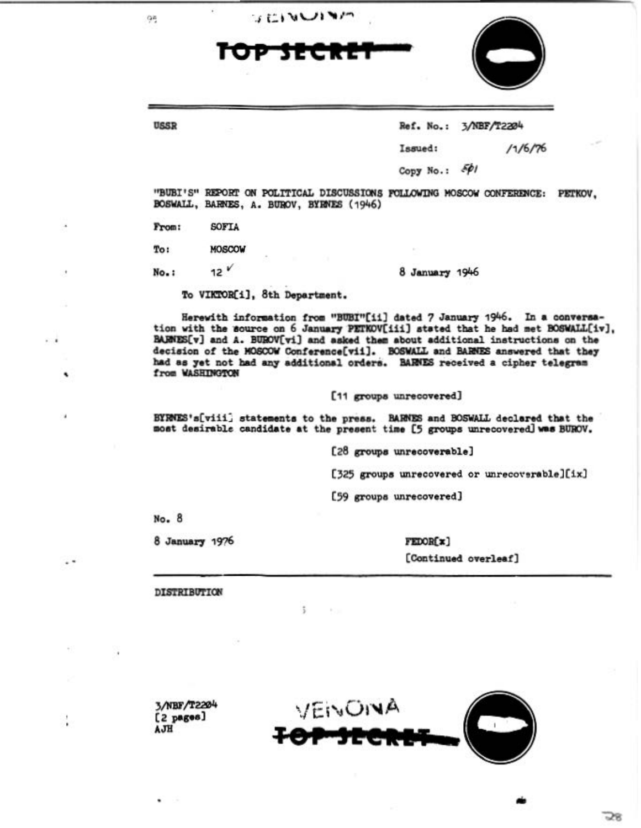| 95    | うにいいいい<br>TOP SECRE                      |                                                                                                                                                                                                                                                                                                                                                                                                                  |  |
|-------|------------------------------------------|------------------------------------------------------------------------------------------------------------------------------------------------------------------------------------------------------------------------------------------------------------------------------------------------------------------------------------------------------------------------------------------------------------------|--|
| USSR  |                                          | Ref. No.: 3/NBF/T2204                                                                                                                                                                                                                                                                                                                                                                                            |  |
|       |                                          | 11/6/76<br>Issued:                                                                                                                                                                                                                                                                                                                                                                                               |  |
|       |                                          | Copy No.: 501                                                                                                                                                                                                                                                                                                                                                                                                    |  |
|       | BOSWALL, BARNES, A. BUROV, BYRNES (1946) | "BUBI'S" REPORT ON POLITICAL DISCUSSIONS FOLLOWING MOSCOW CONFERENCE: PETKOV,                                                                                                                                                                                                                                                                                                                                    |  |
| From: | SOFTA                                    |                                                                                                                                                                                                                                                                                                                                                                                                                  |  |
| To:   | MOSCOW                                   |                                                                                                                                                                                                                                                                                                                                                                                                                  |  |
| No.:  | $12^V$                                   | 8 January 1946                                                                                                                                                                                                                                                                                                                                                                                                   |  |
|       | To VIKTOR[i], 8th Department.            |                                                                                                                                                                                                                                                                                                                                                                                                                  |  |
|       | from WASHINGTON                          | Herewith information from "BUBI"[ii] dated 7 January 1946. In a conversa-<br>tion with the source on 6 January PETKOV[iii] stated that he had met BOSWALL[iv],<br>BARNES[v] and A. BUROV[vi] and asked them about additional instructions on the<br>decision of the MOSCOW Conference[vii]. BOSWALL and BARNES answered that they<br>had as yet not had any additional orders. BARNES received a cipher telegram |  |
|       |                                          | [11 groups unrecovered]                                                                                                                                                                                                                                                                                                                                                                                          |  |
|       |                                          | BYRNES's[viii] statements to the press. BARNES and BOSWALL declared that the<br>most desirable candidate at the present time [5 groups unrecovered] was BUROV.                                                                                                                                                                                                                                                   |  |
|       |                                          | [28 groups unrecoverable]                                                                                                                                                                                                                                                                                                                                                                                        |  |

[325 groups unrecovered or unrecoverable][ix]

[59 groups unrecovered]

 $5 - 11$ 

No. 8

 $\overline{1}$ 

Ŷ,

۰

 $\lambda$ 

 $\ddotsc$ 

l,

 $\sim$  1

8 January 1976

FEDOR[x] [Continued overleaf]

DISTRIBUTION

3/NBF/T2204<br>[2 pages]<br>AJH

٠



58